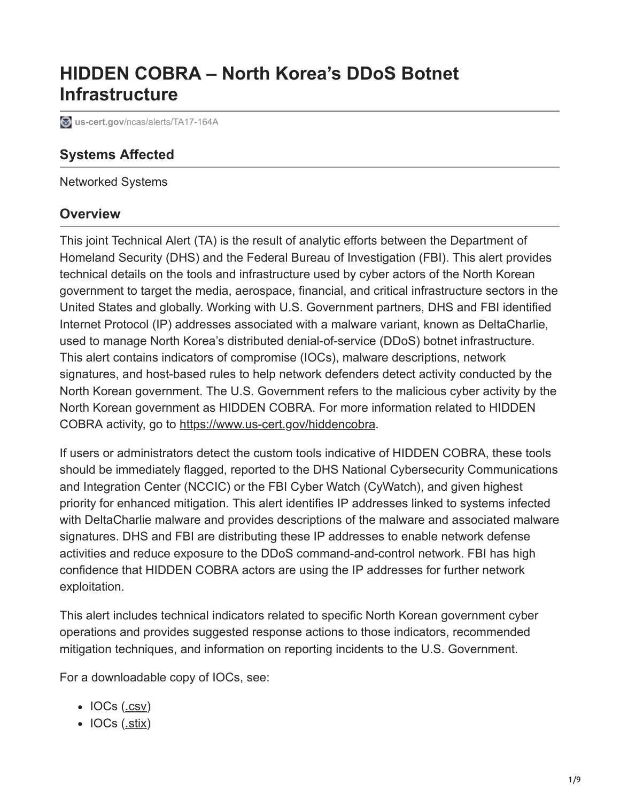# **HIDDEN COBRA – North Korea's DDoS Botnet Infrastructure**

**8** us-cert.gov[/ncas/alerts/TA17-164A](https://www.us-cert.gov/ncas/alerts/TA17-164A)

# **Systems Affected**

Networked Systems

### **Overview**

This joint Technical Alert (TA) is the result of analytic efforts between the Department of Homeland Security (DHS) and the Federal Bureau of Investigation (FBI). This alert provides technical details on the tools and infrastructure used by cyber actors of the North Korean government to target the media, aerospace, financial, and critical infrastructure sectors in the United States and globally. Working with U.S. Government partners, DHS and FBI identified Internet Protocol (IP) addresses associated with a malware variant, known as DeltaCharlie, used to manage North Korea's distributed denial-of-service (DDoS) botnet infrastructure. This alert contains indicators of compromise (IOCs), malware descriptions, network signatures, and host-based rules to help network defenders detect activity conducted by the North Korean government. The U.S. Government refers to the malicious cyber activity by the North Korean government as HIDDEN COBRA. For more information related to HIDDEN COBRA activity, go to [https://www.us-cert.gov/hiddencobra.](https://www.us-cert.gov/hiddencobra)

If users or administrators detect the custom tools indicative of HIDDEN COBRA, these tools should be immediately flagged, reported to the DHS National Cybersecurity Communications and Integration Center (NCCIC) or the FBI Cyber Watch (CyWatch), and given highest priority for enhanced mitigation. This alert identifies IP addresses linked to systems infected with DeltaCharlie malware and provides descriptions of the malware and associated malware signatures. DHS and FBI are distributing these IP addresses to enable network defense activities and reduce exposure to the DDoS command-and-control network. FBI has high confidence that HIDDEN COBRA actors are using the IP addresses for further network exploitation.

This alert includes technical indicators related to specific North Korean government cyber operations and provides suggested response actions to those indicators, recommended mitigation techniques, and information on reporting incidents to the U.S. Government.

For a downloadable copy of IOCs, see:

- $\bullet$  IOCs ([.csv\)](https://www.us-cert.gov/sites/default/files/publications/TA-17-164A_csv.csv)
- IOCs ([.stix\)](https://www.us-cert.gov/sites/default/files/publications/TA-17-164A_stix.xml)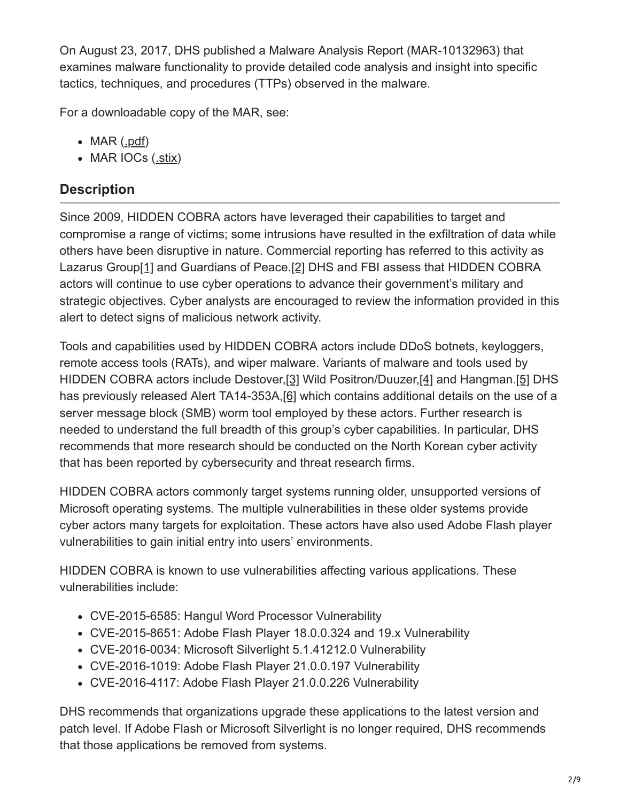On August 23, 2017, DHS published a Malware Analysis Report (MAR-10132963) that examines malware functionality to provide detailed code analysis and insight into specific tactics, techniques, and procedures (TTPs) observed in the malware.

For a downloadable copy of the MAR, see:

- MAR ([.pdf](https://www.us-cert.gov/sites/default/files/publications/MAR-10132963.pdf))
- MAR IOCs ([.stix\)](https://www.us-cert.gov/sites/default/files/publications/MAR-10132963_stix.xml)

# **Description**

Since 2009, HIDDEN COBRA actors have leveraged their capabilities to target and compromise a range of victims; some intrusions have resulted in the exfiltration of data while others have been disruptive in nature. Commercial reporting has referred to this activity as Lazarus Grou[p\[1\]](https://exchange.xforce.ibmcloud.com/collection/Actor-Lazarus-Group-0bf5e50d24445f94d6b2d744dc6c63a2) and Guardians of Peace.[\[2\]](https://www.alienvault.com/blogs/labs-research/operation-blockbuster-unveils-the-actors-behind-the-sony-attacks) DHS and FBI assess that HIDDEN COBRA actors will continue to use cyber operations to advance their government's military and strategic objectives. Cyber analysts are encouraged to review the information provided in this alert to detect signs of malicious network activity.

Tools and capabilities used by HIDDEN COBRA actors include DDoS botnets, keyloggers, remote access tools (RATs), and wiper malware. Variants of malware and tools used by HIDDEN COBRA actors include Destover,[\[3\]](https://www.symantec.com/connect/blogs/destover-destructive-malware-has-links-attacks-south-korea) Wild Positron/Duuzer,[\[4\]](https://www.symantec.com/connect/blogs/duuzer-back-door-trojan-targets-south-korea-take-over-computers) and Hangman.[\[5\]](https://www.fireeye.com/blog/threat-research/2015/09/zero-day_hwp_exploit.html) DHS has previously released Alert TA14-353A,[\[6\]](https://www.us-cert.gov/ncas/alerts/TA14-353A) which contains additional details on the use of a server message block (SMB) worm tool employed by these actors. Further research is needed to understand the full breadth of this group's cyber capabilities. In particular, DHS recommends that more research should be conducted on the North Korean cyber activity that has been reported by cybersecurity and threat research firms.

HIDDEN COBRA actors commonly target systems running older, unsupported versions of Microsoft operating systems. The multiple vulnerabilities in these older systems provide cyber actors many targets for exploitation. These actors have also used Adobe Flash player vulnerabilities to gain initial entry into users' environments.

HIDDEN COBRA is known to use vulnerabilities affecting various applications. These vulnerabilities include:

- CVE-2015-6585: Hangul Word Processor Vulnerability
- CVE-2015-8651: Adobe Flash Player 18.0.0.324 and 19.x Vulnerability
- CVE-2016-0034: Microsoft Silverlight 5.1.41212.0 Vulnerability
- CVE-2016-1019: Adobe Flash Player 21.0.0.197 Vulnerability
- CVE-2016-4117: Adobe Flash Player 21.0.0.226 Vulnerability

DHS recommends that organizations upgrade these applications to the latest version and patch level. If Adobe Flash or Microsoft Silverlight is no longer required, DHS recommends that those applications be removed from systems.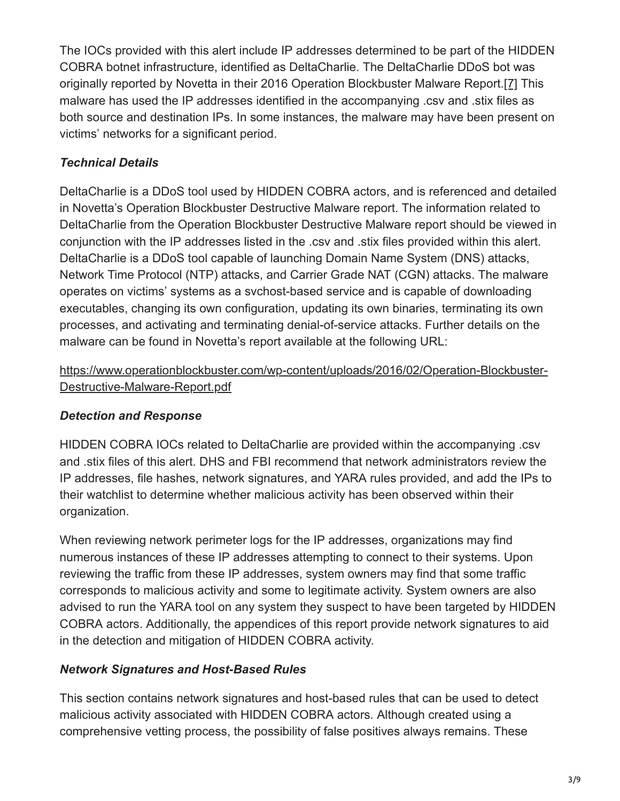The IOCs provided with this alert include IP addresses determined to be part of the HIDDEN COBRA botnet infrastructure, identified as DeltaCharlie. The DeltaCharlie DDoS bot was originally reported by Novetta in their 2016 Operation Blockbuster Malware Report.[\[7\]](https://www.operationblockbuster.com/wp-content/uploads/2016/02/Operation-Blockbuster-Destructive-Malware-Report.pdf) This malware has used the IP addresses identified in the accompanying .csv and .stix files as both source and destination IPs. In some instances, the malware may have been present on victims' networks for a significant period.

# *Technical Details*

DeltaCharlie is a DDoS tool used by HIDDEN COBRA actors, and is referenced and detailed in Novetta's Operation Blockbuster Destructive Malware report. The information related to DeltaCharlie from the Operation Blockbuster Destructive Malware report should be viewed in conjunction with the IP addresses listed in the .csv and .stix files provided within this alert. DeltaCharlie is a DDoS tool capable of launching Domain Name System (DNS) attacks, Network Time Protocol (NTP) attacks, and Carrier Grade NAT (CGN) attacks. The malware operates on victims' systems as a svchost-based service and is capable of downloading executables, changing its own configuration, updating its own binaries, terminating its own processes, and activating and terminating denial-of-service attacks. Further details on the malware can be found in Novetta's report available at the following URL:

### [https://www.operationblockbuster.com/wp-content/uploads/2016/02/Operation-Blockbuster-](https://www.operationblockbuster.com/wp-content/uploads/2016/02/Operation-Blockbuster-Destructive-Malware-Report.pdf)Destructive-Malware-Report.pdf

# *Detection and Response*

HIDDEN COBRA IOCs related to DeltaCharlie are provided within the accompanying .csv and .stix files of this alert. DHS and FBI recommend that network administrators review the IP addresses, file hashes, network signatures, and YARA rules provided, and add the IPs to their watchlist to determine whether malicious activity has been observed within their organization.

When reviewing network perimeter logs for the IP addresses, organizations may find numerous instances of these IP addresses attempting to connect to their systems. Upon reviewing the traffic from these IP addresses, system owners may find that some traffic corresponds to malicious activity and some to legitimate activity. System owners are also advised to run the YARA tool on any system they suspect to have been targeted by HIDDEN COBRA actors. Additionally, the appendices of this report provide network signatures to aid in the detection and mitigation of HIDDEN COBRA activity.

# *Network Signatures and Host-Based Rules*

This section contains network signatures and host-based rules that can be used to detect malicious activity associated with HIDDEN COBRA actors. Although created using a comprehensive vetting process, the possibility of false positives always remains. These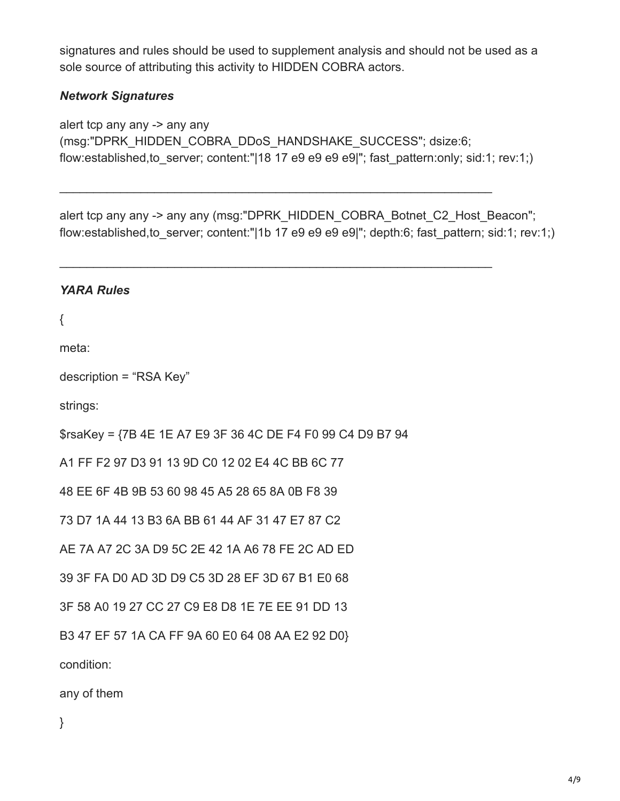signatures and rules should be used to supplement analysis and should not be used as a sole source of attributing this activity to HIDDEN COBRA actors.

#### *Network Signatures*

alert tcp any any -> any any (msg:"DPRK\_HIDDEN\_COBRA\_DDoS\_HANDSHAKE\_SUCCESS"; dsize:6; flow:established,to\_server; content:"|18 17 e9 e9 e9 e9|"; fast\_pattern:only; sid:1; rev:1;)

\_\_\_\_\_\_\_\_\_\_\_\_\_\_\_\_\_\_\_\_\_\_\_\_\_\_\_\_\_\_\_\_\_\_\_\_\_\_\_\_\_\_\_\_\_\_\_\_\_\_\_\_\_\_\_\_\_\_\_\_\_\_\_\_

\_\_\_\_\_\_\_\_\_\_\_\_\_\_\_\_\_\_\_\_\_\_\_\_\_\_\_\_\_\_\_\_\_\_\_\_\_\_\_\_\_\_\_\_\_\_\_\_\_\_\_\_\_\_\_\_\_\_\_\_\_\_\_\_

alert tcp any any -> any any (msg:"DPRK\_HIDDEN\_COBRA\_Botnet\_C2\_Host\_Beacon"; flow: established, to server; content:"|1b 17 e9 e9 e9 e9|"; depth:6; fast pattern; sid:1; rev:1;)

#### *YARA Rules*

{

meta:

```
description = "RSA Key"
```
strings:

\$rsaKey = {7B 4E 1E A7 E9 3F 36 4C DE F4 F0 99 C4 D9 B7 94

A1 FF F2 97 D3 91 13 9D C0 12 02 E4 4C BB 6C 77

48 EE 6F 4B 9B 53 60 98 45 A5 28 65 8A 0B F8 39

73 D7 1A 44 13 B3 6A BB 61 44 AF 31 47 E7 87 C2

AE 7A A7 2C 3A D9 5C 2E 42 1A A6 78 FE 2C AD ED

39 3F FA D0 AD 3D D9 C5 3D 28 EF 3D 67 B1 E0 68

3F 58 A0 19 27 CC 27 C9 E8 D8 1E 7E EE 91 DD 13

B3 47 EF 57 1A CA FF 9A 60 E0 64 08 AA E2 92 D0}

condition:

any of them

}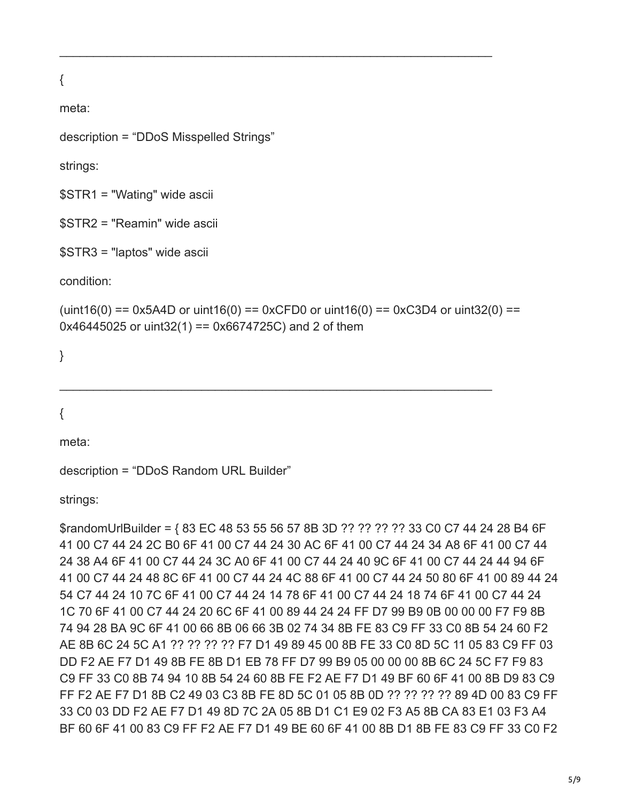{

meta:

description = "DDoS Misspelled Strings"

strings:

\$STR1 = "Wating" wide ascii

\$STR2 = "Reamin" wide ascii

```
$STR3 = "laptos" wide ascii
```
condition:

```
(uint16(0) == 0x5A4D or uint16(0) == 0xCFD0 or uint16(0) == 0xC3D4 or uint32(0) ==0x46445025 or uint32(1) = 0x6674725C and 2 of them
```
\_\_\_\_\_\_\_\_\_\_\_\_\_\_\_\_\_\_\_\_\_\_\_\_\_\_\_\_\_\_\_\_\_\_\_\_\_\_\_\_\_\_\_\_\_\_\_\_\_\_\_\_\_\_\_\_\_\_\_\_\_\_\_\_

\_\_\_\_\_\_\_\_\_\_\_\_\_\_\_\_\_\_\_\_\_\_\_\_\_\_\_\_\_\_\_\_\_\_\_\_\_\_\_\_\_\_\_\_\_\_\_\_\_\_\_\_\_\_\_\_\_\_\_\_\_\_\_\_

}

{

meta:

```
description = "DDoS Random URL Builder"
```
strings:

\$randomUrlBuilder = { 83 EC 48 53 55 56 57 8B 3D ?? ?? ?? ?? 33 C0 C7 44 24 28 B4 6F 41 00 C7 44 24 2C B0 6F 41 00 C7 44 24 30 AC 6F 41 00 C7 44 24 34 A8 6F 41 00 C7 44 24 38 A4 6F 41 00 C7 44 24 3C A0 6F 41 00 C7 44 24 40 9C 6F 41 00 C7 44 24 44 94 6F 41 00 C7 44 24 48 8C 6F 41 00 C7 44 24 4C 88 6F 41 00 C7 44 24 50 80 6F 41 00 89 44 24 54 C7 44 24 10 7C 6F 41 00 C7 44 24 14 78 6F 41 00 C7 44 24 18 74 6F 41 00 C7 44 24 1C 70 6F 41 00 C7 44 24 20 6C 6F 41 00 89 44 24 24 FF D7 99 B9 0B 00 00 00 F7 F9 8B 74 94 28 BA 9C 6F 41 00 66 8B 06 66 3B 02 74 34 8B FE 83 C9 FF 33 C0 8B 54 24 60 F2 AE 8B 6C 24 5C A1 ?? ?? ?? ?? F7 D1 49 89 45 00 8B FE 33 C0 8D 5C 11 05 83 C9 FF 03 DD F2 AE F7 D1 49 8B FE 8B D1 EB 78 FF D7 99 B9 05 00 00 00 8B 6C 24 5C F7 F9 83 C9 FF 33 C0 8B 74 94 10 8B 54 24 60 8B FE F2 AE F7 D1 49 BF 60 6F 41 00 8B D9 83 C9 FF F2 AE F7 D1 8B C2 49 03 C3 8B FE 8D 5C 01 05 8B 0D ?? ?? ?? ?? 89 4D 00 83 C9 FF 33 C0 03 DD F2 AE F7 D1 49 8D 7C 2A 05 8B D1 C1 E9 02 F3 A5 8B CA 83 E1 03 F3 A4 BF 60 6F 41 00 83 C9 FF F2 AE F7 D1 49 BE 60 6F 41 00 8B D1 8B FE 83 C9 FF 33 C0 F2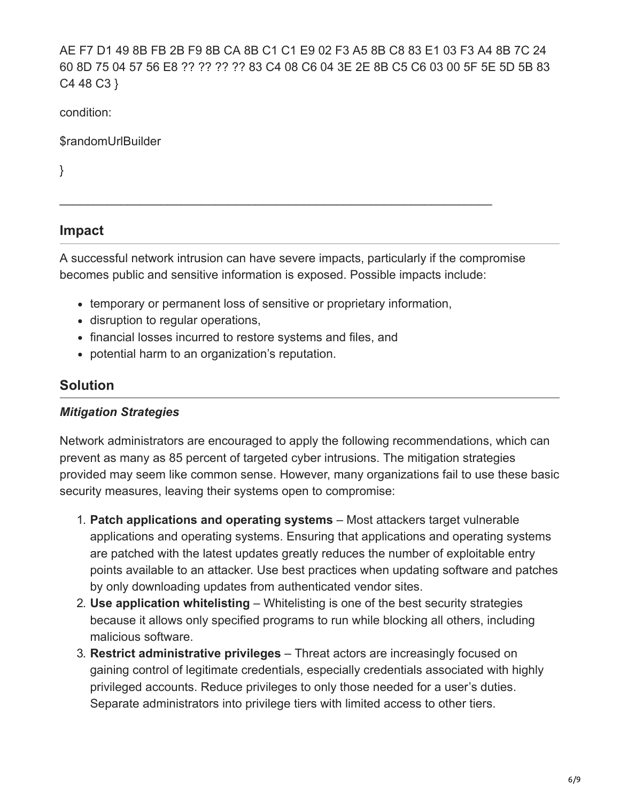AE F7 D1 49 8B FB 2B F9 8B CA 8B C1 C1 E9 02 F3 A5 8B C8 83 E1 03 F3 A4 8B 7C 24 60 8D 75 04 57 56 E8 ?? ?? ?? ?? 83 C4 08 C6 04 3E 2E 8B C5 C6 03 00 5F 5E 5D 5B 83 C4 48 C3 }

condition:

\$randomUrlBuilder

}

# **Impact**

A successful network intrusion can have severe impacts, particularly if the compromise becomes public and sensitive information is exposed. Possible impacts include:

\_\_\_\_\_\_\_\_\_\_\_\_\_\_\_\_\_\_\_\_\_\_\_\_\_\_\_\_\_\_\_\_\_\_\_\_\_\_\_\_\_\_\_\_\_\_\_\_\_\_\_\_\_\_\_\_\_\_\_\_\_\_\_\_

- temporary or permanent loss of sensitive or proprietary information,
- disruption to regular operations,
- financial losses incurred to restore systems and files, and
- potential harm to an organization's reputation.

# **Solution**

#### *Mitigation Strategies*

Network administrators are encouraged to apply the following recommendations, which can prevent as many as 85 percent of targeted cyber intrusions. The mitigation strategies provided may seem like common sense. However, many organizations fail to use these basic security measures, leaving their systems open to compromise:

- 1. **Patch applications and operating systems** Most attackers target vulnerable applications and operating systems. Ensuring that applications and operating systems are patched with the latest updates greatly reduces the number of exploitable entry points available to an attacker. Use best practices when updating software and patches by only downloading updates from authenticated vendor sites.
- 2. **Use application whitelisting** Whitelisting is one of the best security strategies because it allows only specified programs to run while blocking all others, including malicious software.
- 3. **Restrict administrative privileges** Threat actors are increasingly focused on gaining control of legitimate credentials, especially credentials associated with highly privileged accounts. Reduce privileges to only those needed for a user's duties. Separate administrators into privilege tiers with limited access to other tiers.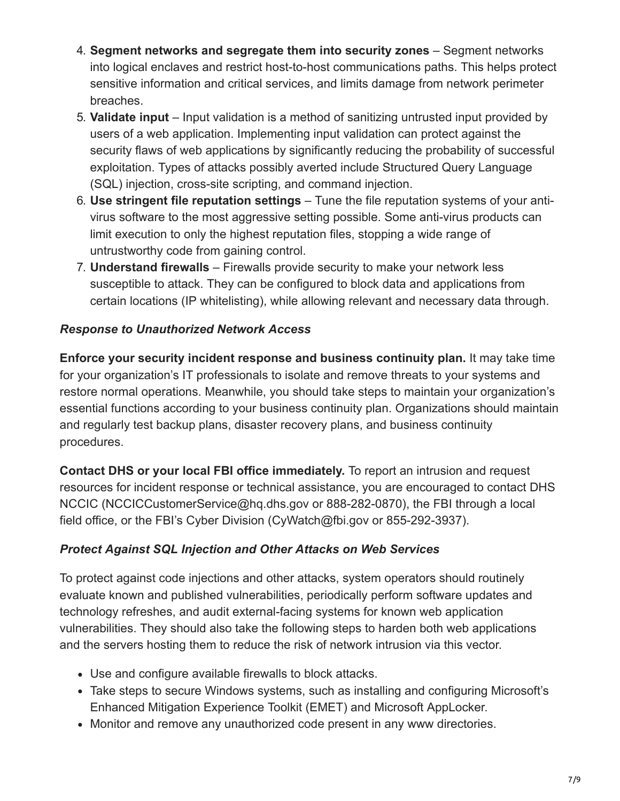- 4. **Segment networks and segregate them into security zones** Segment networks into logical enclaves and restrict host-to-host communications paths. This helps protect sensitive information and critical services, and limits damage from network perimeter breaches.
- 5. **Validate input** Input validation is a method of sanitizing untrusted input provided by users of a web application. Implementing input validation can protect against the security flaws of web applications by significantly reducing the probability of successful exploitation. Types of attacks possibly averted include Structured Query Language (SQL) injection, cross-site scripting, and command injection.
- 6. **Use stringent file reputation settings** Tune the file reputation systems of your antivirus software to the most aggressive setting possible. Some anti-virus products can limit execution to only the highest reputation files, stopping a wide range of untrustworthy code from gaining control.
- 7. **Understand firewalls** Firewalls provide security to make your network less susceptible to attack. They can be configured to block data and applications from certain locations (IP whitelisting), while allowing relevant and necessary data through.

### *Response to Unauthorized Network Access*

**Enforce your security incident response and business continuity plan.** It may take time for your organization's IT professionals to isolate and remove threats to your systems and restore normal operations. Meanwhile, you should take steps to maintain your organization's essential functions according to your business continuity plan. Organizations should maintain and regularly test backup plans, disaster recovery plans, and business continuity procedures.

**Contact DHS or your local FBI office immediately.** To report an intrusion and request resources for incident response or technical assistance, you are encouraged to contact DHS NCCIC (NCCICCustomerService@hq.dhs.gov or 888-282-0870), the FBI through a local field office, or the FBI's Cyber Division (CyWatch@fbi.gov or 855-292-3937).

### *Protect Against SQL Injection and Other Attacks on Web Services*

To protect against code injections and other attacks, system operators should routinely evaluate known and published vulnerabilities, periodically perform software updates and technology refreshes, and audit external-facing systems for known web application vulnerabilities. They should also take the following steps to harden both web applications and the servers hosting them to reduce the risk of network intrusion via this vector.

- Use and configure available firewalls to block attacks.
- Take steps to secure Windows systems, such as installing and configuring Microsoft's Enhanced Mitigation Experience Toolkit (EMET) and Microsoft AppLocker.
- Monitor and remove any unauthorized code present in any www directories.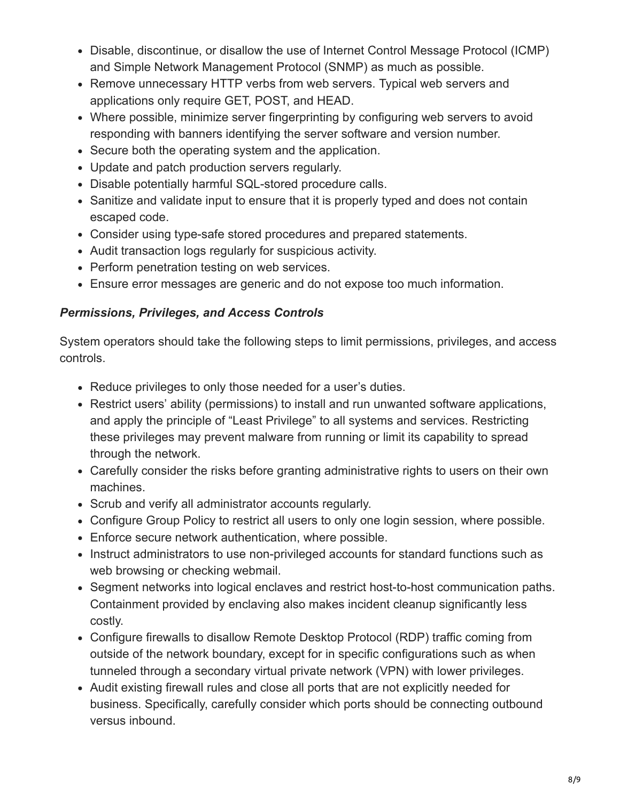- Disable, discontinue, or disallow the use of Internet Control Message Protocol (ICMP) and Simple Network Management Protocol (SNMP) as much as possible.
- Remove unnecessary HTTP verbs from web servers. Typical web servers and applications only require GET, POST, and HEAD.
- Where possible, minimize server fingerprinting by configuring web servers to avoid responding with banners identifying the server software and version number.
- Secure both the operating system and the application.
- Update and patch production servers regularly.
- Disable potentially harmful SQL-stored procedure calls.
- Sanitize and validate input to ensure that it is properly typed and does not contain escaped code.
- Consider using type-safe stored procedures and prepared statements.
- Audit transaction logs regularly for suspicious activity.
- Perform penetration testing on web services.
- Ensure error messages are generic and do not expose too much information.

### *Permissions, Privileges, and Access Controls*

System operators should take the following steps to limit permissions, privileges, and access controls.

- Reduce privileges to only those needed for a user's duties.
- Restrict users' ability (permissions) to install and run unwanted software applications, and apply the principle of "Least Privilege" to all systems and services. Restricting these privileges may prevent malware from running or limit its capability to spread through the network.
- Carefully consider the risks before granting administrative rights to users on their own machines.
- Scrub and verify all administrator accounts regularly.
- Configure Group Policy to restrict all users to only one login session, where possible.
- Enforce secure network authentication, where possible.
- Instruct administrators to use non-privileged accounts for standard functions such as web browsing or checking webmail.
- Segment networks into logical enclaves and restrict host-to-host communication paths. Containment provided by enclaving also makes incident cleanup significantly less costly.
- Configure firewalls to disallow Remote Desktop Protocol (RDP) traffic coming from outside of the network boundary, except for in specific configurations such as when tunneled through a secondary virtual private network (VPN) with lower privileges.
- Audit existing firewall rules and close all ports that are not explicitly needed for business. Specifically, carefully consider which ports should be connecting outbound versus inbound.